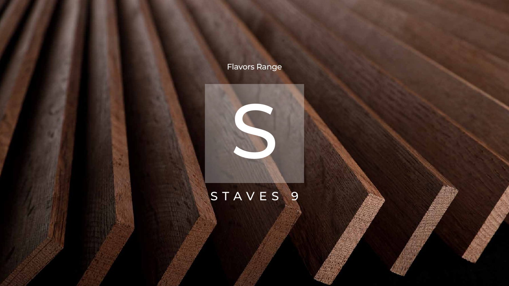

## STAVES 9



## Flavors Range